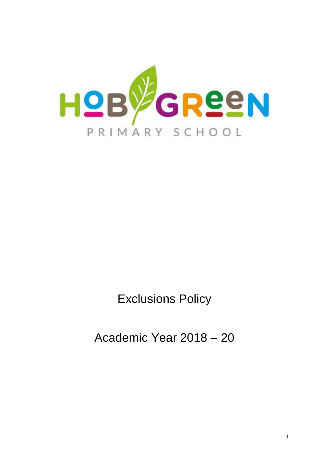

Exclusions Policy

Academic Year 2018 – 20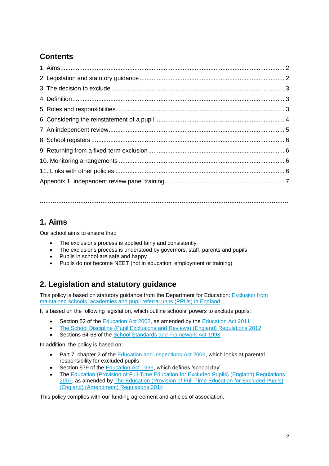# **Contents**

**………………………………………………………………………………………………………………………**

## **1. Aims**

Our school aims to ensure that:

- The exclusions process is applied fairly and consistently
- The exclusions process is understood by governors, staff, parents and pupils
- Pupils in school are safe and happy
- Pupils do not become NEET (not in education, employment or training)

## **2. Legislation and statutory guidance**

This policy is based on statutory guidance from the Department for Education: Exclusion from [maintained schools, academies and pupil referral units \(PRUs\) in England.](https://www.gov.uk/government/publications/school-exclusion)

It is based on the following legislation, which outline schools' powers to exclude pupils:

- Section 52 of the [Education Act 2002,](http://www.legislation.gov.uk/ukpga/2002/32/section/52) as amended by the [Education Act 2011](http://www.legislation.gov.uk/ukpga/2011/21/contents/enacted)
- [The School Discipline \(Pupil Exclusions and Reviews\) \(England\) Regulations 2012](http://www.legislation.gov.uk/uksi/2012/1033/made)
- Sections 64-68 of the [School Standards and Framework Act 1998](http://www.legislation.gov.uk/ukpga/1998/31)

In addition, the policy is based on:

- Part 7, chapter 2 of the [Education and Inspections Act 2006,](http://www.legislation.gov.uk/ukpga/2006/40/part/7/chapter/2) which looks at parental responsibility for excluded pupils
- Section 579 of the [Education Act 1996,](http://www.legislation.gov.uk/ukpga/1996/56/section/579) which defines 'school day'
- The [Education \(Provision of Full-Time Education for Excluded Pupils\) \(England\) Regulations](http://www.legislation.gov.uk/uksi/2007/1870/contents/made)  [2007,](http://www.legislation.gov.uk/uksi/2007/1870/contents/made) as amended by [The Education \(Provision of Full-Time Education for Excluded Pupils\)](http://www.legislation.gov.uk/uksi/2014/3216/contents/made)  [\(England\) \(Amendment\) Regulations 2014](http://www.legislation.gov.uk/uksi/2014/3216/contents/made)

This policy complies with our funding agreement and articles of association.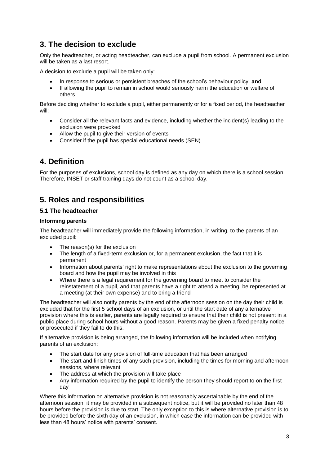## **3. The decision to exclude**

Only the headteacher, or acting headteacher, can exclude a pupil from school. A permanent exclusion will be taken as a last resort.

A decision to exclude a pupil will be taken only:

- In response to serious or persistent breaches of the school's behaviour policy, **and**
- If allowing the pupil to remain in school would seriously harm the education or welfare of others

Before deciding whether to exclude a pupil, either permanently or for a fixed period, the headteacher will:

- Consider all the relevant facts and evidence, including whether the incident(s) leading to the exclusion were provoked
- Allow the pupil to give their version of events
- Consider if the pupil has special educational needs (SEN)

### **4. Definition**

For the purposes of exclusions, school day is defined as any day on which there is a school session. Therefore, INSET or staff training days do not count as a school day.

### **5. Roles and responsibilities**

#### **5.1 The headteacher**

#### **Informing parents**

The headteacher will immediately provide the following information, in writing, to the parents of an excluded pupil:

- The reason(s) for the exclusion
- The length of a fixed-term exclusion or, for a permanent exclusion, the fact that it is permanent
- Information about parents' right to make representations about the exclusion to the governing board and how the pupil may be involved in this
- Where there is a legal requirement for the governing board to meet to consider the reinstatement of a pupil, and that parents have a right to attend a meeting, be represented at a meeting (at their own expense) and to bring a friend

The headteacher will also notify parents by the end of the afternoon session on the day their child is excluded that for the first 5 school days of an exclusion, or until the start date of any alternative provision where this is earlier, parents are legally required to ensure that their child is not present in a public place during school hours without a good reason. Parents may be given a fixed penalty notice or prosecuted if they fail to do this.

If alternative provision is being arranged, the following information will be included when notifying parents of an exclusion:

- The start date for any provision of full-time education that has been arranged
- The start and finish times of any such provision, including the times for morning and afternoon sessions, where relevant
- The address at which the provision will take place
- Any information required by the pupil to identify the person they should report to on the first day

Where this information on alternative provision is not reasonably ascertainable by the end of the afternoon session, it may be provided in a subsequent notice, but it will be provided no later than 48 hours before the provision is due to start. The only exception to this is where alternative provision is to be provided before the sixth day of an exclusion, in which case the information can be provided with less than 48 hours' notice with parents' consent.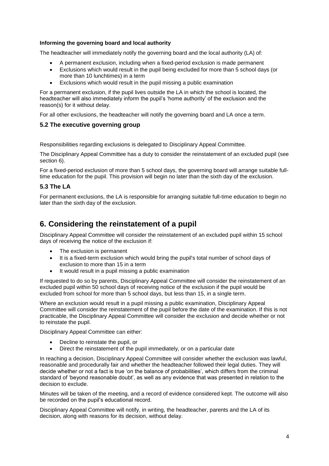#### **Informing the governing board and local authority**

The headteacher will immediately notify the governing board and the local authority (LA) of:

- A permanent exclusion, including when a fixed-period exclusion is made permanent
- Exclusions which would result in the pupil being excluded for more than 5 school days (or more than 10 lunchtimes) in a term
- Exclusions which would result in the pupil missing a public examination

For a permanent exclusion, if the pupil lives outside the LA in which the school is located, the headteacher will also immediately inform the pupil's 'home authority' of the exclusion and the reason(s) for it without delay.

For all other exclusions, the headteacher will notify the governing board and LA once a term.

#### **5.2 The executive governing group**

Responsibilities regarding exclusions is delegated to Disciplinary Appeal Committee.

The Disciplinary Appeal Committee has a duty to consider the reinstatement of an excluded pupil (see section 6).

For a fixed-period exclusion of more than 5 school days, the governing board will arrange suitable fulltime education for the pupil. This provision will begin no later than the sixth day of the exclusion.

#### **5.3 The LA**

For permanent exclusions, the LA is responsible for arranging suitable full-time education to begin no later than the sixth day of the exclusion.

### **6. Considering the reinstatement of a pupil**

Disciplinary Appeal Committee will consider the reinstatement of an excluded pupil within 15 school days of receiving the notice of the exclusion if:

- The exclusion is permanent
- It is a fixed-term exclusion which would bring the pupil's total number of school days of exclusion to more than 15 in a term
- It would result in a pupil missing a public examination

If requested to do so by parents, Disciplinary Appeal Committee will consider the reinstatement of an excluded pupil within 50 school days of receiving notice of the exclusion if the pupil would be excluded from school for more than 5 school days, but less than 15, in a single term.

Where an exclusion would result in a pupil missing a public examination, Disciplinary Appeal Committee will consider the reinstatement of the pupil before the date of the examination. If this is not practicable, the Disciplinary Appeal Committee will consider the exclusion and decide whether or not to reinstate the pupil.

Disciplinary Appeal Committee can either:

- Decline to reinstate the pupil, or
- Direct the reinstatement of the pupil immediately, or on a particular date

In reaching a decision, Disciplinary Appeal Committee will consider whether the exclusion was lawful, reasonable and procedurally fair and whether the headteacher followed their legal duties. They will decide whether or not a fact is true 'on the balance of probabilities', which differs from the criminal standard of 'beyond reasonable doubt', as well as any evidence that was presented in relation to the decision to exclude.

Minutes will be taken of the meeting, and a record of evidence considered kept. The outcome will also be recorded on the pupil's educational record.

Disciplinary Appeal Committee will notify, in writing, the headteacher, parents and the LA of its decision, along with reasons for its decision, without delay.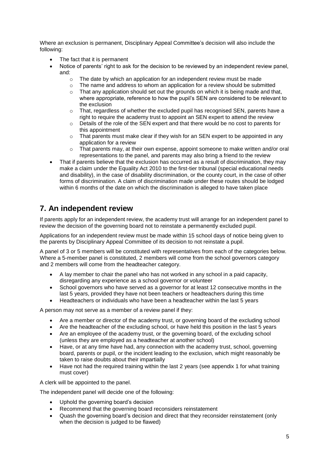Where an exclusion is permanent, Disciplinary Appeal Committee's decision will also include the following:

- The fact that it is permanent
- Notice of parents' right to ask for the decision to be reviewed by an independent review panel. and:
	- o The date by which an application for an independent review must be made
	- $\circ$  The name and address to whom an application for a review should be submitted
	- $\circ$  That any application should set out the grounds on which it is being made and that, where appropriate, reference to how the pupil's SEN are considered to be relevant to the exclusion
	- $\circ$  That, regardless of whether the excluded pupil has recognised SEN, parents have a right to require the academy trust to appoint an SEN expert to attend the review
	- $\circ$  Details of the role of the SEN expert and that there would be no cost to parents for this appointment
	- o That parents must make clear if they wish for an SEN expert to be appointed in any application for a review
	- $\circ$  That parents may, at their own expense, appoint someone to make written and/or oral representations to the panel, and parents may also bring a friend to the review
- That if parents believe that the exclusion has occurred as a result of discrimination, they may make a claim under the Equality Act 2010 to the first-tier tribunal (special educational needs and disability), in the case of disability discrimination, or the county court, in the case of other forms of discrimination. A claim of discrimination made under these routes should be lodged within 6 months of the date on which the discrimination is alleged to have taken place

### **7. An independent review**

If parents apply for an independent review, the academy trust will arrange for an independent panel to review the decision of the governing board not to reinstate a permanently excluded pupil.

Applications for an independent review must be made within 15 school days of notice being given to the parents by Disciplinary Appeal Committee of its decision to not reinstate a pupil.

A panel of 3 or 5 members will be constituted with representatives from each of the categories below. Where a 5-member panel is constituted, 2 members will come from the school governors category and 2 members will come from the headteacher category.

- A lay member to chair the panel who has not worked in any school in a paid capacity, disregarding any experience as a school governor or volunteer
- School governors who have served as a governor for at least 12 consecutive months in the last 5 years, provided they have not been teachers or headteachers during this time
- Headteachers or individuals who have been a headteacher within the last 5 years

A person may not serve as a member of a review panel if they:

- Are a member or director of the academy trust, or governing board of the excluding school
- Are the headteacher of the excluding school, or have held this position in the last 5 years
- Are an employee of the academy trust, or the governing board, of the excluding school (unless they are employed as a headteacher at another school)
- Have, or at any time have had, any connection with the academy trust, school, governing board, parents or pupil, or the incident leading to the exclusion, which might reasonably be taken to raise doubts about their impartially
- Have not had the required training within the last 2 years (see appendix 1 for what training must cover)

A clerk will be appointed to the panel.

The independent panel will decide one of the following:

- Uphold the governing board's decision
- Recommend that the governing board reconsiders reinstatement
- Quash the governing board's decision and direct that they reconsider reinstatement (only when the decision is judged to be flawed)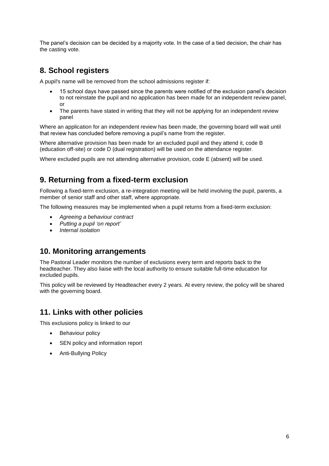The panel's decision can be decided by a majority vote. In the case of a tied decision, the chair has the casting vote.

## **8. School registers**

A pupil's name will be removed from the school admissions register if:

- 15 school days have passed since the parents were notified of the exclusion panel's decision to not reinstate the pupil and no application has been made for an independent review panel, or
- The parents have stated in writing that they will not be applying for an independent review panel

Where an application for an independent review has been made, the governing board will wait until that review has concluded before removing a pupil's name from the register.

Where alternative provision has been made for an excluded pupil and they attend it, code B (education off-site) or code D (dual registration) will be used on the attendance register.

Where excluded pupils are not attending alternative provision, code E (absent) will be used.

## **9. Returning from a fixed-term exclusion**

Following a fixed-term exclusion, a re-integration meeting will be held involving the pupil, parents, a member of senior staff and other staff, where appropriate.

The following measures may be implemented when a pupil returns from a fixed-term exclusion:

- *Agreeing a behaviour contract*
- *Putting a pupil 'on report'*
- *Internal isolation*

### **10. Monitoring arrangements**

The Pastoral Leader monitors the number of exclusions every term and reports back to the headteacher. They also liaise with the local authority to ensure suitable full-time education for excluded pupils.

This policy will be reviewed by Headteacher every 2 years. At every review, the policy will be shared with the governing board.

### **11. Links with other policies**

This exclusions policy is linked to our

- Behaviour policy
- SEN policy and information report
- Anti-Bullying Policy